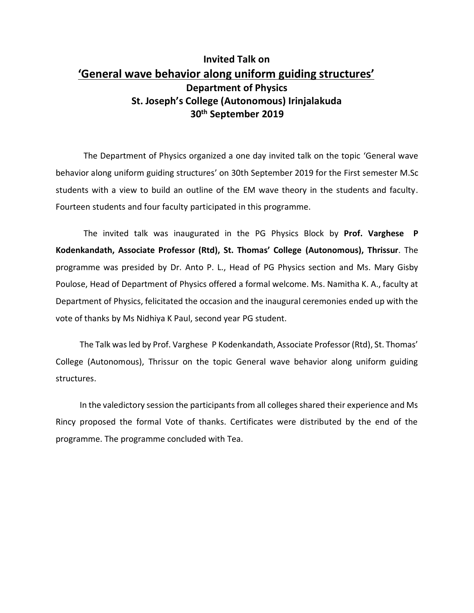## **Invited Talk on 'General wave behavior along uniform guiding structures' Department of Physics St. Joseph's College (Autonomous) Irinjalakuda 30th September 2019**

The Department of Physics organized a one day invited talk on the topic 'General wave behavior along uniform guiding structures' on 30th September 2019 for the First semester M.Sc students with a view to build an outline of the EM wave theory in the students and faculty. Fourteen students and four faculty participated in this programme.

The invited talk was inaugurated in the PG Physics Block by **Prof. Varghese P Kodenkandath, Associate Professor (Rtd), St. Thomas' College (Autonomous), Thrissur**. The programme was presided by Dr. Anto P. L., Head of PG Physics section and Ms. Mary Gisby Poulose, Head of Department of Physics offered a formal welcome. Ms. Namitha K. A., faculty at Department of Physics, felicitated the occasion and the inaugural ceremonies ended up with the vote of thanks by Ms Nidhiya K Paul, second year PG student.

The Talk wasled by Prof. Varghese P Kodenkandath, Associate Professor (Rtd), St. Thomas' College (Autonomous), Thrissur on the topic General wave behavior along uniform guiding structures.

In the valedictory session the participants from all colleges shared their experience and Ms Rincy proposed the formal Vote of thanks. Certificates were distributed by the end of the programme. The programme concluded with Tea.